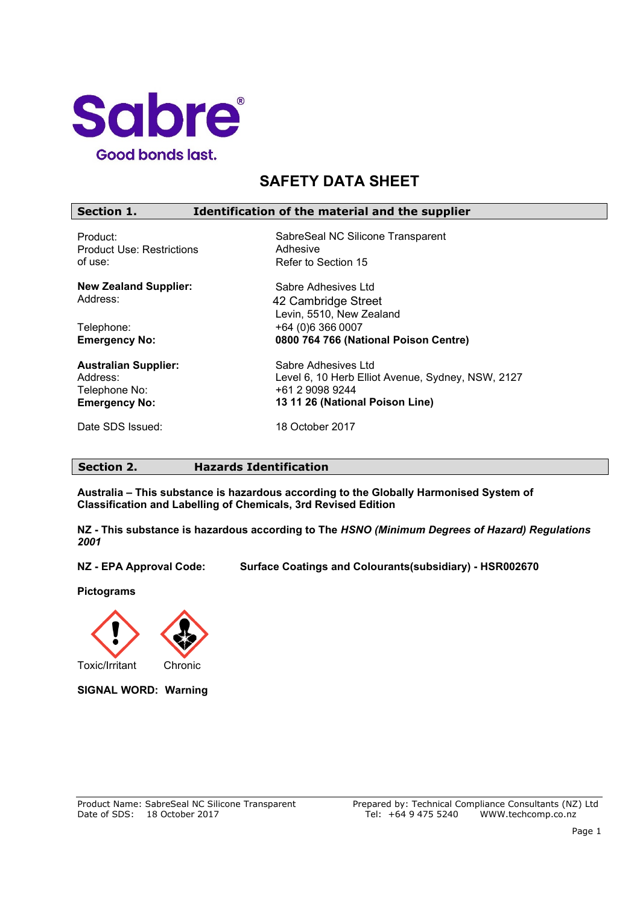

# **SAFETY DATA SHEET**

| Section 1.<br>Identification of the material and the supplier |                                                   |  |
|---------------------------------------------------------------|---------------------------------------------------|--|
| Product:                                                      | SabreSeal NC Silicone Transparent                 |  |
| <b>Product Use: Restrictions</b>                              | Adhesive                                          |  |
| of use:                                                       | Refer to Section 15                               |  |
| <b>New Zealand Supplier:</b>                                  | Sabre Adhesives Ltd                               |  |
| Address:                                                      | 42 Cambridge Street                               |  |
|                                                               | Levin, 5510, New Zealand                          |  |
| Telephone:                                                    | +64 (0)6 366 0007                                 |  |
| <b>Emergency No:</b>                                          | 0800 764 766 (National Poison Centre)             |  |
| <b>Australian Supplier:</b>                                   | Sabre Adhesives Ltd                               |  |
| Address:                                                      | Level 6, 10 Herb Elliot Avenue, Sydney, NSW, 2127 |  |
| Telephone No:                                                 | +61 2 9098 9244                                   |  |
| <b>Emergency No:</b>                                          | 13 11 26 (National Poison Line)                   |  |
| Date SDS Issued:                                              | 18 October 2017                                   |  |

# **Section 2. Hazards Identification**

**Australia – This substance is hazardous according to the Globally Harmonised System of Classification and Labelling of Chemicals, 3rd Revised Edition**

**NZ - This substance is hazardous according to The** *HSNO (Minimum Degrees of Hazard) Regulations 2001*

**NZ - EPA Approval Code: Surface Coatings and Colourants(subsidiary) - HSR002670** 

**Pictograms**



**SIGNAL WORD: Warning**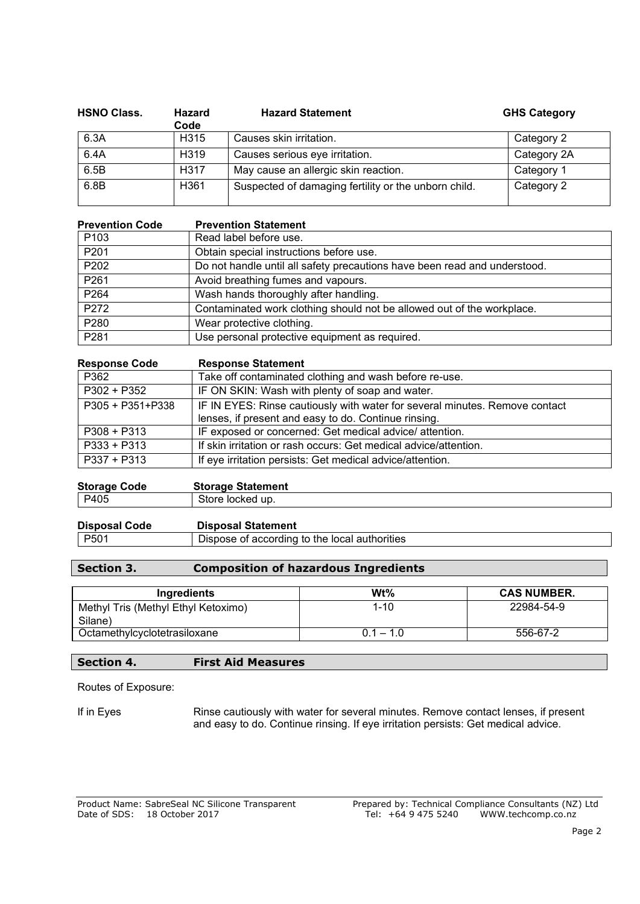| <b>HSNO Class.</b> | <b>Hazard</b><br>Code | <b>Hazard Statement</b>                              | <b>GHS Category</b> |
|--------------------|-----------------------|------------------------------------------------------|---------------------|
| 6.3A               | H <sub>315</sub>      | Causes skin irritation.                              | Category 2          |
| 6.4A               | H <sub>3</sub> 19     | Causes serious eye irritation.                       | Category 2A         |
| 6.5B               | H317                  | May cause an allergic skin reaction.                 | Category 1          |
| 6.8B               | H <sub>361</sub>      | Suspected of damaging fertility or the unborn child. | Category 2          |

| <b>Prevention Code</b> | <b>Prevention Statement</b>                                               |
|------------------------|---------------------------------------------------------------------------|
| P <sub>103</sub>       | Read label before use.                                                    |
| P201                   | Obtain special instructions before use.                                   |
| P <sub>202</sub>       | Do not handle until all safety precautions have been read and understood. |
| P <sub>261</sub>       | Avoid breathing fumes and vapours.                                        |
| P <sub>264</sub>       | Wash hands thoroughly after handling.                                     |
| P272                   | Contaminated work clothing should not be allowed out of the workplace.    |
| P <sub>280</sub>       | Wear protective clothing.                                                 |
| P281                   | Use personal protective equipment as required.                            |

| <b>Response Code</b> | <b>Response Statement</b>                                                   |
|----------------------|-----------------------------------------------------------------------------|
| P362                 | Take off contaminated clothing and wash before re-use.                      |
| P302 + P352          | IF ON SKIN: Wash with plenty of soap and water.                             |
| P305 + P351+P338     | IF IN EYES: Rinse cautiously with water for several minutes. Remove contact |
|                      | lenses, if present and easy to do. Continue rinsing.                        |
| $P308 + P313$        | IF exposed or concerned: Get medical advice/ attention.                     |
| $P333 + P313$        | If skin irritation or rash occurs: Get medical advice/attention.            |
| $P337 + P313$        | If eye irritation persists: Get medical advice/attention.                   |
|                      |                                                                             |

| <b>Storage Code</b> | <b>Storage Statement</b> |
|---------------------|--------------------------|
| P405                | Store locked up.         |

| <b>Disposal Code</b>     | <b>Disposal Statement</b>                     |
|--------------------------|-----------------------------------------------|
| $\vert$ P <sub>501</sub> | Dispose of according to the local authorities |

# **Section 3. Composition of hazardous Ingredients**

| Ingredients                         | Wt%         | <b>CAS NUMBER.</b> |
|-------------------------------------|-------------|--------------------|
| Methyl Tris (Methyl Ethyl Ketoximo) | $1 - 10$    | 22984-54-9         |
| Silane)                             |             |                    |
| Octamethylcyclotetrasiloxane        | $0.1 - 1.0$ | 556-67-2           |

# **Section 4. First Aid Measures**

Routes of Exposure:

If in Eyes Rinse cautiously with water for several minutes. Remove contact lenses, if present and easy to do. Continue rinsing. If eye irritation persists: Get medical advice.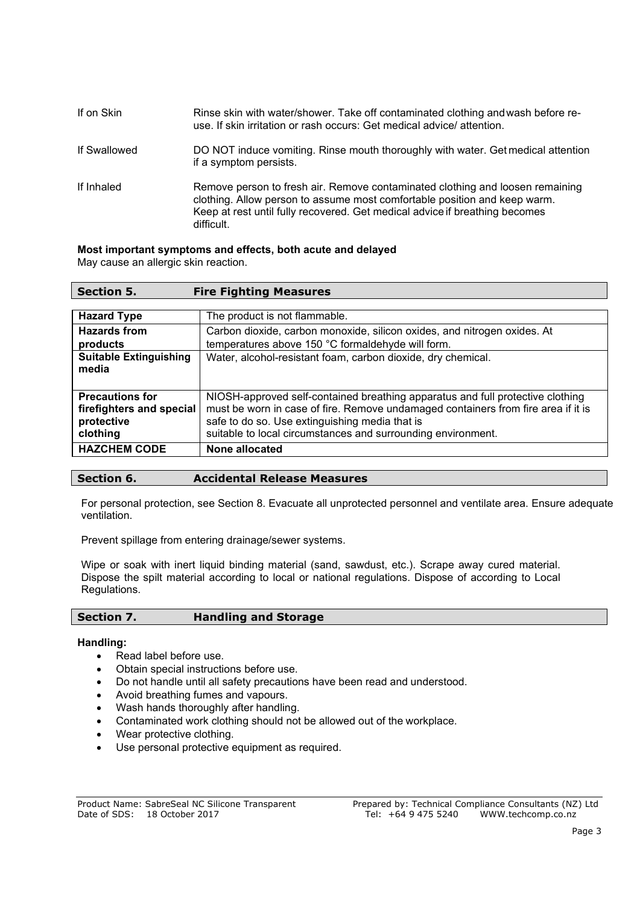| If on Skin   | Rinse skin with water/shower. Take off contaminated clothing and wash before re-<br>use. If skin irritation or rash occurs: Get medical advice/attention.                                                                                               |
|--------------|---------------------------------------------------------------------------------------------------------------------------------------------------------------------------------------------------------------------------------------------------------|
| If Swallowed | DO NOT induce vomiting. Rinse mouth thoroughly with water. Get medical attention<br>if a symptom persists.                                                                                                                                              |
| If Inhaled   | Remove person to fresh air. Remove contaminated clothing and loosen remaining<br>clothing. Allow person to assume most comfortable position and keep warm.<br>Keep at rest until fully recovered. Get medical advice if breathing becomes<br>difficult. |

#### **Most important symptoms and effects, both acute and delayed**

May cause an allergic skin reaction.

| <b>Section 5.</b>                                                            | <b>Fire Fighting Measures</b>                                                                                                                                                                                                                                                         |
|------------------------------------------------------------------------------|---------------------------------------------------------------------------------------------------------------------------------------------------------------------------------------------------------------------------------------------------------------------------------------|
|                                                                              |                                                                                                                                                                                                                                                                                       |
| <b>Hazard Type</b>                                                           | The product is not flammable.                                                                                                                                                                                                                                                         |
| <b>Hazards from</b>                                                          | Carbon dioxide, carbon monoxide, silicon oxides, and nitrogen oxides. At                                                                                                                                                                                                              |
| products                                                                     | temperatures above 150 °C formaldehyde will form.                                                                                                                                                                                                                                     |
| <b>Suitable Extinguishing</b><br>media                                       | Water, alcohol-resistant foam, carbon dioxide, dry chemical.                                                                                                                                                                                                                          |
| <b>Precautions for</b><br>firefighters and special<br>protective<br>clothing | NIOSH-approved self-contained breathing apparatus and full protective clothing<br>must be worn in case of fire. Remove undamaged containers from fire area if it is<br>safe to do so. Use extinguishing media that is<br>suitable to local circumstances and surrounding environment. |
| <b>HAZCHEM CODE</b>                                                          | None allocated                                                                                                                                                                                                                                                                        |

# **Section 6. Accidental Release Measures**

For personal protection, see Section 8. Evacuate all unprotected personnel and ventilate area. Ensure adequate ventilation.

Prevent spillage from entering drainage/sewer systems.

Wipe or soak with inert liquid binding material (sand, sawdust, etc.). Scrape away cured material. Dispose the spilt material according to local or national regulations. Dispose of according to Local Regulations.

#### **Section 7. Handling and Storage**

#### **Handling:**

- Read label before use.
- Obtain special instructions before use.
- Do not handle until all safety precautions have been read and understood.
- Avoid breathing fumes and vapours.
- Wash hands thoroughly after handling.
- Contaminated work clothing should not be allowed out of the workplace.
- Wear protective clothing.
- Use personal protective equipment as required.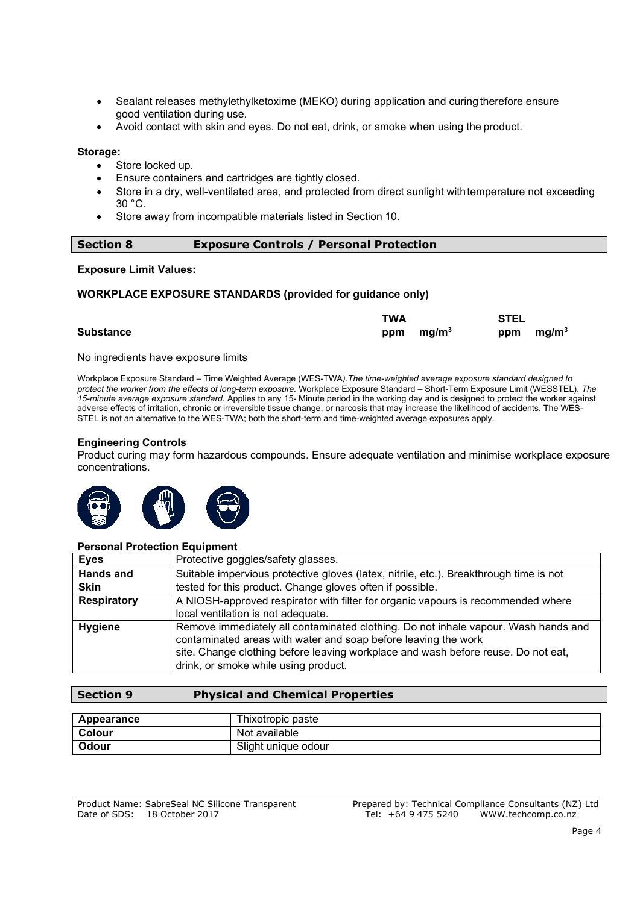- Sealant releases methylethylketoxime (MEKO) during application and curing therefore ensure good ventilation during use.
- Avoid contact with skin and eyes. Do not eat, drink, or smoke when using the product.

#### **Storage:**

- Store locked up.
- Ensure containers and cartridges are tightly closed.
- Store in a dry, well-ventilated area, and protected from direct sunlight with temperature not exceeding 30 °C.
- Store away from incompatible materials listed in Section 10.

#### **Section 8 Exposure Controls / Personal Protection**

#### **Exposure Limit Values:**

#### **WORKPLACE EXPOSURE STANDARDS (provided for guidance only)**

|                  | TWA         | STEL        |  |
|------------------|-------------|-------------|--|
| <b>Substance</b> | ppm $mg/m3$ | ppm $mg/m3$ |  |

No ingredients have exposure limits

Workplace Exposure Standard – Time Weighted Average (WES-TWA*).The time-weighted average exposure standard designed to protect the worker from the effects of long-term exposure.* Workplace Exposure Standard – Short-Term Exposure Limit (WESSTEL). *The 15-minute average exposure standard.* Applies to any 15- Minute period in the working day and is designed to protect the worker against adverse effects of irritation, chronic or irreversible tissue change, or narcosis that may increase the likelihood of accidents. The WES-STEL is not an alternative to the WES-TWA; both the short-term and time-weighted average exposures apply.

#### **Engineering Controls**

Product curing may form hazardous compounds. Ensure adequate ventilation and minimise workplace exposure concentrations.



#### **Personal Protection Equipment**

| <b>Eyes</b>        | Protective goggles/safety glasses.                                                                                                                                                                                                                                                |
|--------------------|-----------------------------------------------------------------------------------------------------------------------------------------------------------------------------------------------------------------------------------------------------------------------------------|
| <b>Hands and</b>   | Suitable impervious protective gloves (latex, nitrile, etc.). Breakthrough time is not                                                                                                                                                                                            |
| <b>Skin</b>        | tested for this product. Change gloves often if possible.                                                                                                                                                                                                                         |
| <b>Respiratory</b> | A NIOSH-approved respirator with filter for organic vapours is recommended where                                                                                                                                                                                                  |
|                    | local ventilation is not adequate.                                                                                                                                                                                                                                                |
| <b>Hygiene</b>     | Remove immediately all contaminated clothing. Do not inhale vapour. Wash hands and<br>contaminated areas with water and soap before leaving the work<br>site. Change clothing before leaving workplace and wash before reuse. Do not eat,<br>drink, or smoke while using product. |

# **Section 9 Physical and Chemical Properties**

| Appearance    | Thixotropic paste   |
|---------------|---------------------|
| <b>Colour</b> | Not available       |
| Odour         | Slight unique odour |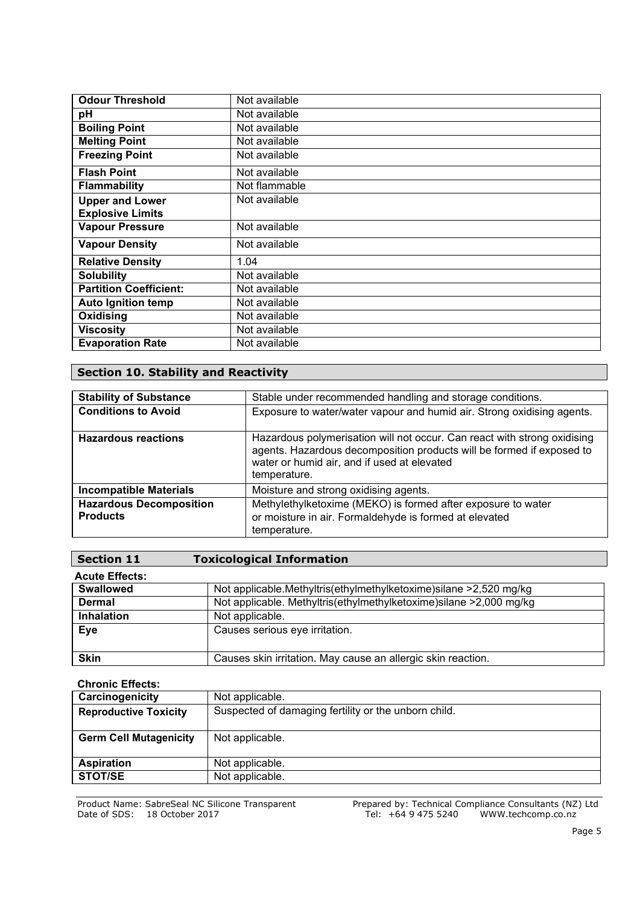| <b>Odour Threshold</b>        | Not available |
|-------------------------------|---------------|
| рH                            | Not available |
| <b>Boiling Point</b>          | Not available |
| <b>Melting Point</b>          | Not available |
| <b>Freezing Point</b>         | Not available |
| <b>Flash Point</b>            | Not available |
| <b>Flammability</b>           | Not flammable |
| <b>Upper and Lower</b>        | Not available |
| <b>Explosive Limits</b>       |               |
| <b>Vapour Pressure</b>        | Not available |
| <b>Vapour Density</b>         | Not available |
| <b>Relative Density</b>       | 1.04          |
| <b>Solubility</b>             | Not available |
| <b>Partition Coefficient:</b> | Not available |
| <b>Auto Ignition temp</b>     | Not available |
| Oxidising                     | Not available |
| <b>Viscosity</b>              | Not available |
| <b>Evaporation Rate</b>       | Not available |

# **Section 10. Stability and Reactivity**

| <b>Stability of Substance</b>  | Stable under recommended handling and storage conditions.                                                                                                                                                        |
|--------------------------------|------------------------------------------------------------------------------------------------------------------------------------------------------------------------------------------------------------------|
| <b>Conditions to Avoid</b>     | Exposure to water/water vapour and humid air. Strong oxidising agents.                                                                                                                                           |
| <b>Hazardous reactions</b>     | Hazardous polymerisation will not occur. Can react with strong oxidising<br>agents. Hazardous decomposition products will be formed if exposed to<br>water or humid air, and if used at elevated<br>temperature. |
| <b>Incompatible Materials</b>  | Moisture and strong oxidising agents.                                                                                                                                                                            |
| <b>Hazardous Decomposition</b> | Methylethylketoxime (MEKO) is formed after exposure to water                                                                                                                                                     |
| <b>Products</b>                | or moisture in air. Formaldehyde is formed at elevated                                                                                                                                                           |
|                                | temperature.                                                                                                                                                                                                     |

| <b>Section 11</b>     | <b>Toxicological Information</b>                                   |
|-----------------------|--------------------------------------------------------------------|
| <b>Acute Effects:</b> |                                                                    |
| <b>Swallowed</b>      | Not applicable.Methyltris(ethylmethylketoxime)silane >2,520 mg/kg  |
| <b>Dermal</b>         | Not applicable. Methyltris(ethylmethylketoxime)silane >2,000 mg/kg |
| Inhalation            | Not applicable.                                                    |
| Eye                   | Causes serious eye irritation.                                     |
| <b>Skin</b>           | Causes skin irritation. May cause an allergic skin reaction.       |

**Chronic Effects:**

| Not applicable.                                      |
|------------------------------------------------------|
| Suspected of damaging fertility or the unborn child. |
|                                                      |
| Not applicable.                                      |
| Not applicable.                                      |
| Not applicable.                                      |
|                                                      |

Product Name: SabreSeal NC Silicone Transparent Date of SDS: 18 October 2017

Prepared by: Technical Compliance Consultants (NZ) Ltd Tel: +64 9 475 5240 [WWW.techcomp.co.nz](http://www.techcomp.co.nz/)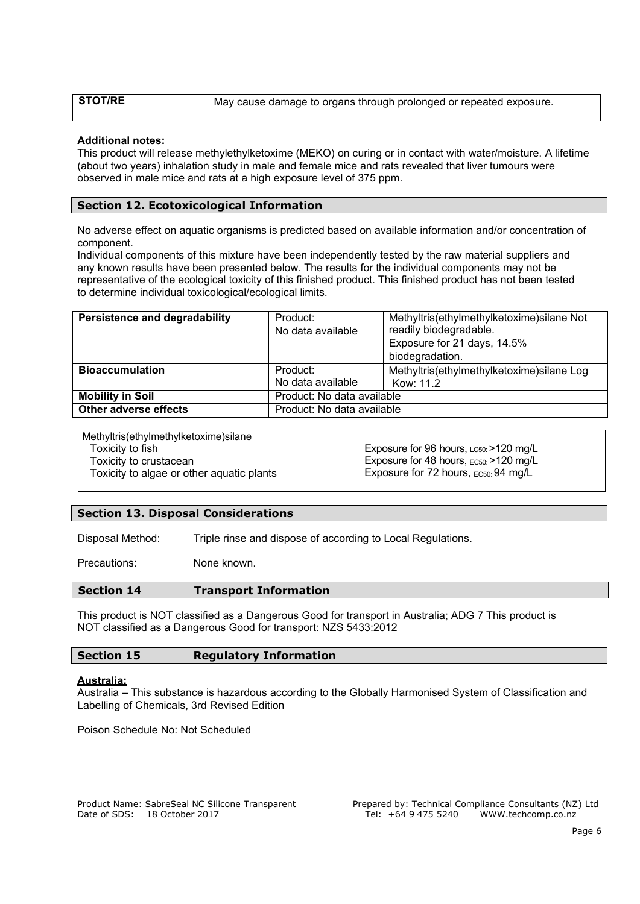| <b>STOT/RE</b> | May cause damage to organs through prolonged or repeated exposure. |
|----------------|--------------------------------------------------------------------|
|                |                                                                    |

#### **Additional notes:**

This product will release methylethylketoxime (MEKO) on curing or in contact with water/moisture. A lifetime (about two years) inhalation study in male and female mice and rats revealed that liver tumours were observed in male mice and rats at a high exposure level of 375 ppm.

# **Section 12. Ecotoxicological Information**

No adverse effect on aquatic organisms is predicted based on available information and/or concentration of component.

Individual components of this mixture have been independently tested by the raw material suppliers and any known results have been presented below. The results for the individual components may not be representative of the ecological toxicity of this finished product. This finished product has not been tested to determine individual toxicological/ecological limits.

| Persistence and degradability | Product:                   | Methyltris(ethylmethylketoxime) silane Not |
|-------------------------------|----------------------------|--------------------------------------------|
|                               | No data available          | readily biodegradable.                     |
|                               |                            | Exposure for 21 days, 14.5%                |
|                               |                            | biodegradation.                            |
| <b>Bioaccumulation</b>        | Product:                   | Methyltris(ethylmethylketoxime) silane Log |
|                               | No data available          | Kow: 11.2                                  |
| <b>Mobility in Soil</b>       | Product: No data available |                                            |
| Other adverse effects         | Product: No data available |                                            |
|                               |                            |                                            |

| Methyltris(ethylmethylketoxime) silane    |                                          |
|-------------------------------------------|------------------------------------------|
| Toxicity to fish                          | Exposure for 96 hours, LC50: >120 mg/L   |
| Toxicity to crustacean                    | Exposure for 48 hours, EC50: >120 mg/L   |
| Toxicity to algae or other aquatic plants | Exposure for 72 hours, $_{EC50}$ 94 mg/L |
|                                           |                                          |

# **Section 13. Disposal Considerations**

Disposal Method: Triple rinse and dispose of according to Local Regulations.

Precautions: None known.

#### **Section 14 Transport Information**

This product is NOT classified as a Dangerous Good for transport in Australia; ADG 7 This product is NOT classified as a Dangerous Good for transport: NZS 5433:2012

| <b>Section 15</b> | <b>Regulatory Information</b> |
|-------------------|-------------------------------|
|                   |                               |

#### **Australia:**

Australia – This substance is hazardous according to the Globally Harmonised System of Classification and Labelling of Chemicals, 3rd Revised Edition

Poison Schedule No: Not Scheduled